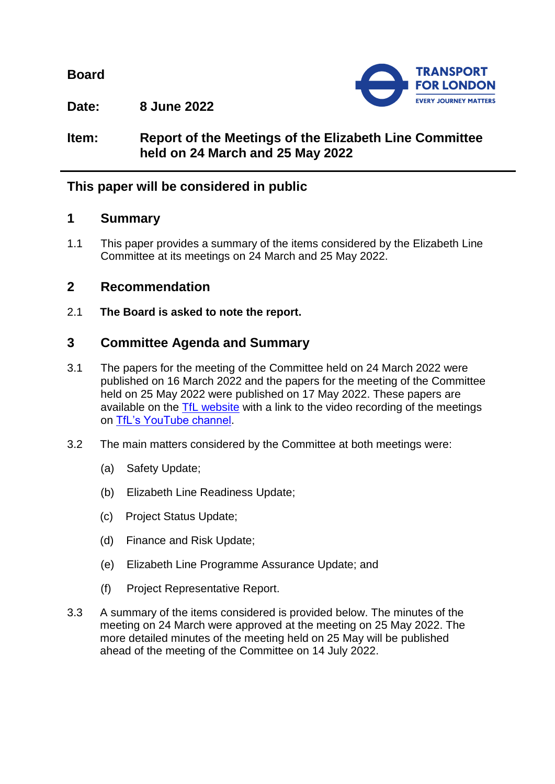**Board**



**Date: 8 June 2022**

# **Item: Report of the Meetings of the Elizabeth Line Committee held on 24 March and 25 May 2022**

# **This paper will be considered in public**

### **1 Summary**

1.1 This paper provides a summary of the items considered by the Elizabeth Line Committee at its meetings on 24 March and 25 May 2022.

## **2 Recommendation**

2.1 **The Board is asked to note the report.**

# **3 Committee Agenda and Summary**

- 3.1 The papers for the meeting of the Committee held on 24 March 2022 were published on 16 March 2022 and the papers for the meeting of the Committee held on 25 May 2022 were published on 17 May 2022. These papers are available on the [TfL website](https://board.tfl.gov.uk/uuCoverPage.aspx?bcr=1) with a link to the video recording of the meetings on [TfL's YouTube channel.](https://www.youtube.com/playlist?list=PLtnlusA0Zoggk4qvN68OcnD9k_7B8cY_d)
- 3.2 The main matters considered by the Committee at both meetings were:
	- (a) Safety Update;
	- (b) Elizabeth Line Readiness Update;
	- (c) Project Status Update;
	- (d) Finance and Risk Update;
	- (e) Elizabeth Line Programme Assurance Update; and
	- (f) Project Representative Report.
- 3.3 A summary of the items considered is provided below. The minutes of the meeting on 24 March were approved at the meeting on 25 May 2022. The more detailed minutes of the meeting held on 25 May will be published ahead of the meeting of the Committee on 14 July 2022.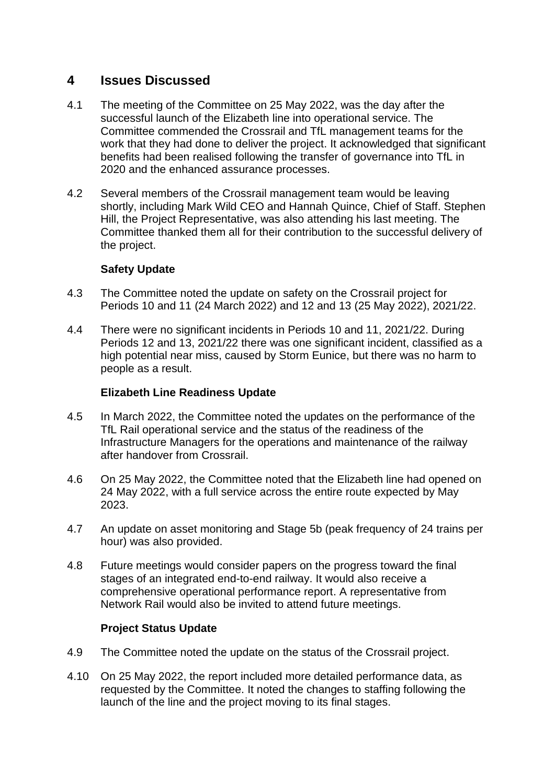### **4 Issues Discussed**

- 4.1 The meeting of the Committee on 25 May 2022, was the day after the successful launch of the Elizabeth line into operational service. The Committee commended the Crossrail and TfL management teams for the work that they had done to deliver the project. It acknowledged that significant benefits had been realised following the transfer of governance into TfL in 2020 and the enhanced assurance processes.
- 4.2 Several members of the Crossrail management team would be leaving shortly, including Mark Wild CEO and Hannah Quince, Chief of Staff. Stephen Hill, the Project Representative, was also attending his last meeting. The Committee thanked them all for their contribution to the successful delivery of the project.

#### **Safety Update**

- 4.3 The Committee noted the update on safety on the Crossrail project for Periods 10 and 11 (24 March 2022) and 12 and 13 (25 May 2022), 2021/22.
- 4.4 There were no significant incidents in Periods 10 and 11, 2021/22. During Periods 12 and 13, 2021/22 there was one significant incident, classified as a high potential near miss, caused by Storm Eunice, but there was no harm to people as a result.

#### **Elizabeth Line Readiness Update**

- 4.5 In March 2022, the Committee noted the updates on the performance of the TfL Rail operational service and the status of the readiness of the Infrastructure Managers for the operations and maintenance of the railway after handover from Crossrail.
- 4.6 On 25 May 2022, the Committee noted that the Elizabeth line had opened on 24 May 2022, with a full service across the entire route expected by May 2023.
- 4.7 An update on asset monitoring and Stage 5b (peak frequency of 24 trains per hour) was also provided.
- 4.8 Future meetings would consider papers on the progress toward the final stages of an integrated end-to-end railway. It would also receive a comprehensive operational performance report. A representative from Network Rail would also be invited to attend future meetings.

#### **Project Status Update**

- 4.9 The Committee noted the update on the status of the Crossrail project.
- 4.10 On 25 May 2022, the report included more detailed performance data, as requested by the Committee. It noted the changes to staffing following the launch of the line and the project moving to its final stages.